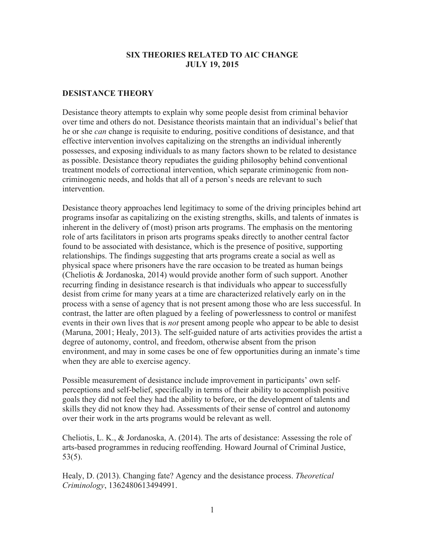### **SIX THEORIES RELATED TO AIC CHANGE JULY 19, 2015**

## **DESISTANCE THEORY**

Desistance theory attempts to explain why some people desist from criminal behavior over time and others do not. Desistance theorists maintain that an individual's belief that he or she *can* change is requisite to enduring, positive conditions of desistance, and that effective intervention involves capitalizing on the strengths an individual inherently possesses, and exposing individuals to as many factors shown to be related to desistance as possible. Desistance theory repudiates the guiding philosophy behind conventional treatment models of correctional intervention, which separate criminogenic from noncriminogenic needs, and holds that all of a person's needs are relevant to such intervention.

Desistance theory approaches lend legitimacy to some of the driving principles behind art programs insofar as capitalizing on the existing strengths, skills, and talents of inmates is inherent in the delivery of (most) prison arts programs. The emphasis on the mentoring role of arts facilitators in prison arts programs speaks directly to another central factor found to be associated with desistance, which is the presence of positive, supporting relationships. The findings suggesting that arts programs create a social as well as physical space where prisoners have the rare occasion to be treated as human beings (Cheliotis & Jordanoska, 2014) would provide another form of such support. Another recurring finding in desistance research is that individuals who appear to successfully desist from crime for many years at a time are characterized relatively early on in the process with a sense of agency that is not present among those who are less successful. In contrast, the latter are often plagued by a feeling of powerlessness to control or manifest events in their own lives that is *not* present among people who appear to be able to desist (Maruna, 2001; Healy, 2013). The self-guided nature of arts activities provides the artist a degree of autonomy, control, and freedom, otherwise absent from the prison environment, and may in some cases be one of few opportunities during an inmate's time when they are able to exercise agency.

Possible measurement of desistance include improvement in participants' own selfperceptions and self-belief, specifically in terms of their ability to accomplish positive goals they did not feel they had the ability to before, or the development of talents and skills they did not know they had. Assessments of their sense of control and autonomy over their work in the arts programs would be relevant as well.

Cheliotis, L. K., & Jordanoska, A. (2014). The arts of desistance: Assessing the role of arts-based programmes in reducing reoffending. Howard Journal of Criminal Justice, 53(5).

Healy, D. (2013). Changing fate? Agency and the desistance process. *Theoretical Criminology*, 1362480613494991.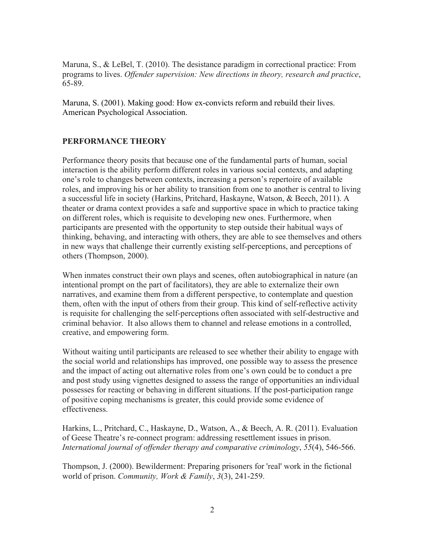Maruna, S., & LeBel, T. (2010). The desistance paradigm in correctional practice: From programs to lives. *Offender supervision: New directions in theory, research and practice*, 65-89.

Maruna, S. (2001). Making good: How ex-convicts reform and rebuild their lives. American Psychological Association.

### **PERFORMANCE THEORY**

Performance theory posits that because one of the fundamental parts of human, social interaction is the ability perform different roles in various social contexts, and adapting one's role to changes between contexts, increasing a person's repertoire of available roles, and improving his or her ability to transition from one to another is central to living a successful life in society (Harkins, Pritchard, Haskayne, Watson, & Beech, 2011). A theater or drama context provides a safe and supportive space in which to practice taking on different roles, which is requisite to developing new ones. Furthermore, when participants are presented with the opportunity to step outside their habitual ways of thinking, behaving, and interacting with others, they are able to see themselves and others in new ways that challenge their currently existing self-perceptions, and perceptions of others (Thompson, 2000).

When inmates construct their own plays and scenes, often autobiographical in nature (an intentional prompt on the part of facilitators), they are able to externalize their own narratives, and examine them from a different perspective, to contemplate and question them, often with the input of others from their group. This kind of self-reflective activity is requisite for challenging the self-perceptions often associated with self-destructive and criminal behavior. It also allows them to channel and release emotions in a controlled, creative, and empowering form.

Without waiting until participants are released to see whether their ability to engage with the social world and relationships has improved, one possible way to assess the presence and the impact of acting out alternative roles from one's own could be to conduct a pre and post study using vignettes designed to assess the range of opportunities an individual possesses for reacting or behaving in different situations. If the post-participation range of positive coping mechanisms is greater, this could provide some evidence of effectiveness.

Harkins, L., Pritchard, C., Haskayne, D., Watson, A., & Beech, A. R. (2011). Evaluation of Geese Theatre's re-connect program: addressing resettlement issues in prison. *International journal of offender therapy and comparative criminology*, *55*(4), 546-566.

Thompson, J. (2000). Bewilderment: Preparing prisoners for 'real' work in the fictional world of prison. *Community, Work & Family*, *3*(3), 241-259.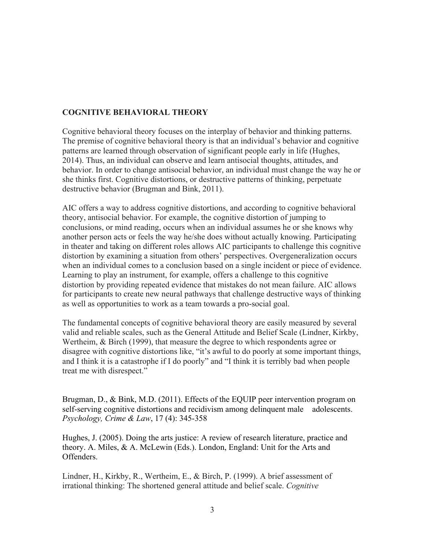# **COGNITIVE BEHAVIORAL THEORY**

Cognitive behavioral theory focuses on the interplay of behavior and thinking patterns. The premise of cognitive behavioral theory is that an individual's behavior and cognitive patterns are learned through observation of significant people early in life (Hughes, 2014). Thus, an individual can observe and learn antisocial thoughts, attitudes, and behavior. In order to change antisocial behavior, an individual must change the way he or she thinks first. Cognitive distortions, or destructive patterns of thinking, perpetuate destructive behavior (Brugman and Bink, 2011).

AIC offers a way to address cognitive distortions, and according to cognitive behavioral theory, antisocial behavior. For example, the cognitive distortion of jumping to conclusions, or mind reading, occurs when an individual assumes he or she knows why another person acts or feels the way he/she does without actually knowing. Participating in theater and taking on different roles allows AIC participants to challenge this cognitive distortion by examining a situation from others' perspectives. Overgeneralization occurs when an individual comes to a conclusion based on a single incident or piece of evidence. Learning to play an instrument, for example, offers a challenge to this cognitive distortion by providing repeated evidence that mistakes do not mean failure. AIC allows for participants to create new neural pathways that challenge destructive ways of thinking as well as opportunities to work as a team towards a pro-social goal.

The fundamental concepts of cognitive behavioral theory are easily measured by several valid and reliable scales, such as the General Attitude and Belief Scale (Lindner, Kirkby, Wertheim, & Birch (1999), that measure the degree to which respondents agree or disagree with cognitive distortions like, "it's awful to do poorly at some important things, and I think it is a catastrophe if I do poorly" and "I think it is terribly bad when people treat me with disrespect."

Brugman, D., & Bink, M.D. (2011). Effects of the EQUIP peer intervention program on self-serving cognitive distortions and recidivism among delinquent male adolescents. *Psychology, Crime & Law*, 17 (4): 345-358

Hughes, J. (2005). Doing the arts justice: A review of research literature, practice and theory. A. Miles, & A. McLewin (Eds.). London, England: Unit for the Arts and Offenders.

Lindner, H., Kirkby, R., Wertheim, E., & Birch, P. (1999). A brief assessment of irrational thinking: The shortened general attitude and belief scale. *Cognitive*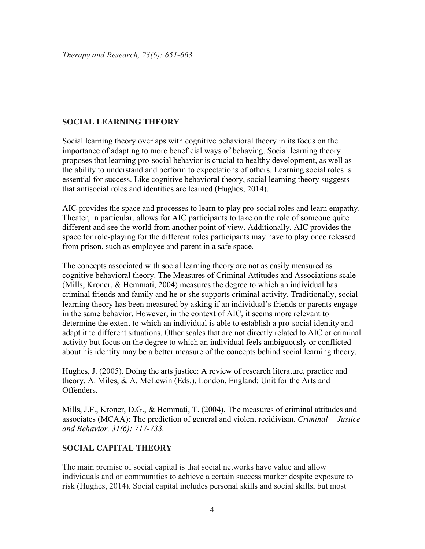# **SOCIAL LEARNING THEORY**

Social learning theory overlaps with cognitive behavioral theory in its focus on the importance of adapting to more beneficial ways of behaving. Social learning theory proposes that learning pro-social behavior is crucial to healthy development, as well as the ability to understand and perform to expectations of others. Learning social roles is essential for success. Like cognitive behavioral theory, social learning theory suggests that antisocial roles and identities are learned (Hughes, 2014).

AIC provides the space and processes to learn to play pro-social roles and learn empathy. Theater, in particular, allows for AIC participants to take on the role of someone quite different and see the world from another point of view. Additionally, AIC provides the space for role-playing for the different roles participants may have to play once released from prison, such as employee and parent in a safe space.

The concepts associated with social learning theory are not as easily measured as cognitive behavioral theory. The Measures of Criminal Attitudes and Associations scale (Mills, Kroner, & Hemmati, 2004) measures the degree to which an individual has criminal friends and family and he or she supports criminal activity. Traditionally, social learning theory has been measured by asking if an individual's friends or parents engage in the same behavior. However, in the context of AIC, it seems more relevant to determine the extent to which an individual is able to establish a pro-social identity and adapt it to different situations. Other scales that are not directly related to AIC or criminal activity but focus on the degree to which an individual feels ambiguously or conflicted about his identity may be a better measure of the concepts behind social learning theory.

Hughes, J. (2005). Doing the arts justice: A review of research literature, practice and theory. A. Miles, & A. McLewin (Eds.). London, England: Unit for the Arts and **Offenders** 

Mills, J.F., Kroner, D.G., & Hemmati, T. (2004). The measures of criminal attitudes and associates (MCAA): The prediction of general and violent recidivism. *Criminal Justice and Behavior, 31(6): 717-733.* 

# **SOCIAL CAPITAL THEORY**

The main premise of social capital is that social networks have value and allow individuals and or communities to achieve a certain success marker despite exposure to risk (Hughes, 2014). Social capital includes personal skills and social skills, but most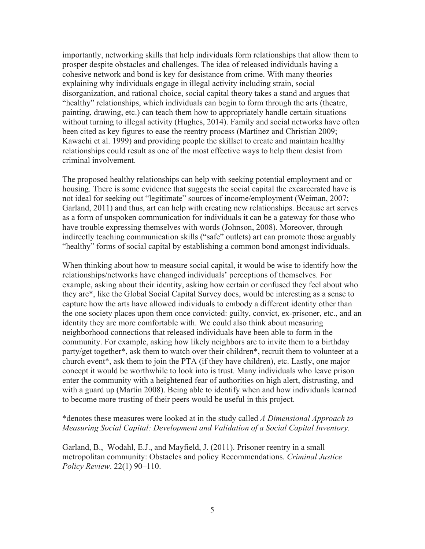importantly, networking skills that help individuals form relationships that allow them to prosper despite obstacles and challenges. The idea of released individuals having a cohesive network and bond is key for desistance from crime. With many theories explaining why individuals engage in illegal activity including strain, social disorganization, and rational choice, social capital theory takes a stand and argues that "healthy" relationships, which individuals can begin to form through the arts (theatre, painting, drawing, etc.) can teach them how to appropriately handle certain situations without turning to illegal activity (Hughes, 2014). Family and social networks have often been cited as key figures to ease the reentry process (Martinez and Christian 2009; Kawachi et al. 1999) and providing people the skillset to create and maintain healthy relationships could result as one of the most effective ways to help them desist from criminal involvement.

The proposed healthy relationships can help with seeking potential employment and or housing. There is some evidence that suggests the social capital the excarcerated have is not ideal for seeking out "legitimate" sources of income/employment (Weiman, 2007; Garland, 2011) and thus, art can help with creating new relationships. Because art serves as a form of unspoken communication for individuals it can be a gateway for those who have trouble expressing themselves with words (Johnson, 2008). Moreover, through indirectly teaching communication skills ("safe" outlets) art can promote those arguably "healthy" forms of social capital by establishing a common bond amongst individuals.

When thinking about how to measure social capital, it would be wise to identify how the relationships/networks have changed individuals' perceptions of themselves. For example, asking about their identity, asking how certain or confused they feel about who they are\*, like the Global Social Capital Survey does, would be interesting as a sense to capture how the arts have allowed individuals to embody a different identity other than the one society places upon them once convicted: guilty, convict, ex-prisoner, etc., and an identity they are more comfortable with. We could also think about measuring neighborhood connections that released individuals have been able to form in the community. For example, asking how likely neighbors are to invite them to a birthday party/get together\*, ask them to watch over their children\*, recruit them to volunteer at a church event\*, ask them to join the PTA (if they have children), etc. Lastly, one major concept it would be worthwhile to look into is trust. Many individuals who leave prison enter the community with a heightened fear of authorities on high alert, distrusting, and with a guard up (Martin 2008). Being able to identify when and how individuals learned to become more trusting of their peers would be useful in this project.

#### \*denotes these measures were looked at in the study called *A Dimensional Approach to Measuring Social Capital: Development and Validation of a Social Capital Inventory*.

Garland, B., Wodahl, E.J., and Mayfield, J. (2011). Prisoner reentry in a small metropolitan community: Obstacles and policy Recommendations. *Criminal Justice Policy Review*. 22(1) 90–110.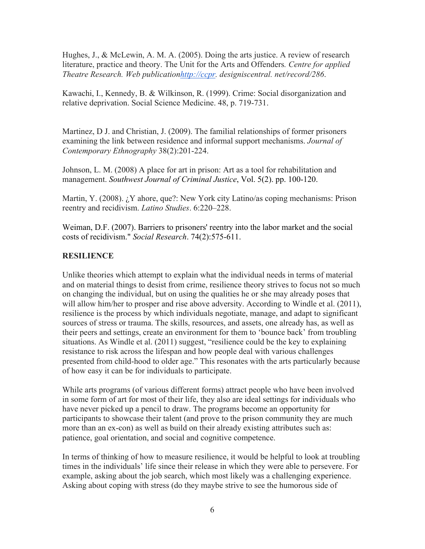Hughes, J., & McLewin, A. M. A. (2005). Doing the arts justice. A review of research literature, practice and theory. The Unit for the Arts and Offenders*. Centre for applied Theatre Research. Web publicationhttp://ccpr. designiscentral. net/record/286*.

Kawachi, I., Kennedy, B. & Wilkinson, R. (1999). Crime: Social disorganization and relative deprivation. Social Science Medicine. 48, p. 719-731.

Martinez, D J. and Christian, J. (2009). The familial relationships of former prisoners examining the link between residence and informal support mechanisms. *Journal of Contemporary Ethnography* 38(2):201-224.

Johnson, L. M. (2008) A place for art in prison: Art as a tool for rehabilitation and management. *Southwest Journal of Criminal Justice*, Vol. 5(2). pp. 100-120.

Martin, Y. (2008). *i*. Y ahore, que?: New York city Latino/as coping mechanisms: Prison reentry and recidivism. *Latino Studies*. 6:220–228.

Weiman, D.F. (2007). Barriers to prisoners' reentry into the labor market and the social costs of recidivism." *Social Research*. 74(2):575-611.

### **RESILIENCE**

Unlike theories which attempt to explain what the individual needs in terms of material and on material things to desist from crime, resilience theory strives to focus not so much on changing the individual, but on using the qualities he or she may already poses that will allow him/her to prosper and rise above adversity. According to Windle et al. (2011), resilience is the process by which individuals negotiate, manage, and adapt to significant sources of stress or trauma. The skills, resources, and assets, one already has, as well as their peers and settings, create an environment for them to 'bounce back' from troubling situations. As Windle et al. (2011) suggest, "resilience could be the key to explaining resistance to risk across the lifespan and how people deal with various challenges presented from child-hood to older age." This resonates with the arts particularly because of how easy it can be for individuals to participate.

While arts programs (of various different forms) attract people who have been involved in some form of art for most of their life, they also are ideal settings for individuals who have never picked up a pencil to draw. The programs become an opportunity for participants to showcase their talent (and prove to the prison community they are much more than an ex-con) as well as build on their already existing attributes such as: patience, goal orientation, and social and cognitive competence.

In terms of thinking of how to measure resilience, it would be helpful to look at troubling times in the individuals' life since their release in which they were able to persevere. For example, asking about the job search, which most likely was a challenging experience. Asking about coping with stress (do they maybe strive to see the humorous side of